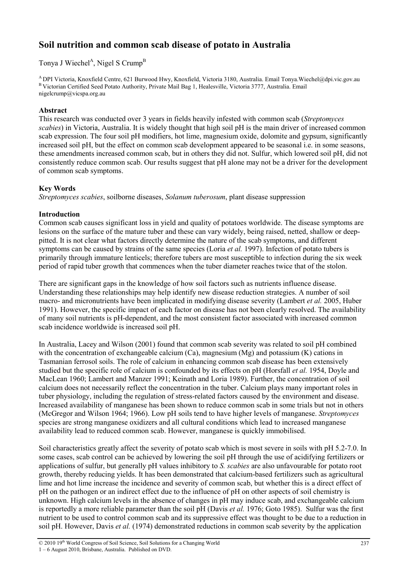# **Soil nutrition and common scab disease of potato in Australia**

Tonya J Wiechel<sup>A</sup>, Nigel S Crump<sup>B</sup>

<sup>A</sup>DPI Victoria, Knoxfield Centre, 621 Burwood Hwy, Knoxfield, Victoria 3180, Australia. Email Tonya.Wiechel@dpi.vic.gov.au <sup>B</sup>Victorian Certified Seed Potato Authority, Private Mail Bag 1, Healesville, Victoria 3777, Australia. Email nigelcrump@vicspa.org.au

## **Abstract**

This research was conducted over 3 years in fields heavily infested with common scab (*Streptomyces scabies*) in Victoria, Australia. It is widely thought that high soil pH is the main driver of increased common scab expression. The four soil pH modifiers, hot lime, magnesium oxide, dolomite and gypsum, significantly increased soil pH, but the effect on common scab development appeared to be seasonal i.e. in some seasons, these amendments increased common scab, but in others they did not. Sulfur, which lowered soil pH, did not consistently reduce common scab. Our results suggest that pH alone may not be a driver for the development of common scab symptoms.

# **Key Words**

*Streptomyces scabies*, soilborne diseases, *Solanum tuberosum*, plant disease suppression

# **Introduction**

Common scab causes significant loss in yield and quality of potatoes worldwide. The disease symptoms are lesions on the surface of the mature tuber and these can vary widely, being raised, netted, shallow or deeppitted. It is not clear what factors directly determine the nature of the scab symptoms, and different symptoms can be caused by strains of the same species (Loria *et al.* 1997). Infection of potato tubers is primarily through immature lenticels; therefore tubers are most susceptible to infection during the six week period of rapid tuber growth that commences when the tuber diameter reaches twice that of the stolon.

There are significant gaps in the knowledge of how soil factors such as nutrients influence disease. Understanding these relationships may help identify new disease reduction strategies. A number of soil macro- and micronutrients have been implicated in modifying disease severity (Lambert *et al.* 2005, Huber 1991). However, the specific impact of each factor on disease has not been clearly resolved. The availability of many soil nutrients is pH-dependent, and the most consistent factor associated with increased common scab incidence worldwide is increased soil pH.

In Australia, Lacey and Wilson (2001) found that common scab severity was related to soil pH combined with the concentration of exchangeable calcium  $(Ca)$ , magnesium  $(Mg)$  and potassium  $(K)$  cations in Tasmanian ferrosol soils. The role of calcium in enhancing common scab disease has been extensively studied but the specific role of calcium is confounded by its effects on pH (Horsfall *et al.* 1954, Doyle and MacLean 1960; Lambert and Manzer 1991; Keinath and Loria 1989). Further, the concentration of soil calcium does not necessarily reflect the concentration in the tuber. Calcium plays many important roles in tuber physiology, including the regulation of stress-related factors caused by the environment and disease. Increased availability of manganese has been shown to reduce common scab in some trials but not in others (McGregor and Wilson 1964; 1966). Low pH soils tend to have higher levels of manganese. *Streptomyces* species are strong manganese oxidizers and all cultural conditions which lead to increased manganese availability lead to reduced common scab. However, manganese is quickly immobilised.

Soil characteristics greatly affect the severity of potato scab which is most severe in soils with pH 5.2-7.0. In some cases, scab control can be achieved by lowering the soil pH through the use of acidifying fertilizers or applications of sulfur, but generally pH values inhibitory to *S. scabies* are also unfavourable for potato root growth, thereby reducing yields. It has been demonstrated that calcium-based fertilizers such as agricultural lime and hot lime increase the incidence and severity of common scab, but whether this is a direct effect of pH on the pathogen or an indirect effect due to the influence of pH on other aspects of soil chemistry is unknown. High calcium levels in the absence of changes in pH may induce scab, and exchangeable calcium is reportedly a more reliable parameter than the soil pH (Davis *et al.* 1976; Goto 1985). Sulfur was the first nutrient to be used to control common scab and its suppressive effect was thought to be due to a reduction in soil pH. However, Davis *et al.* (1974) demonstrated reductions in common scab severity by the application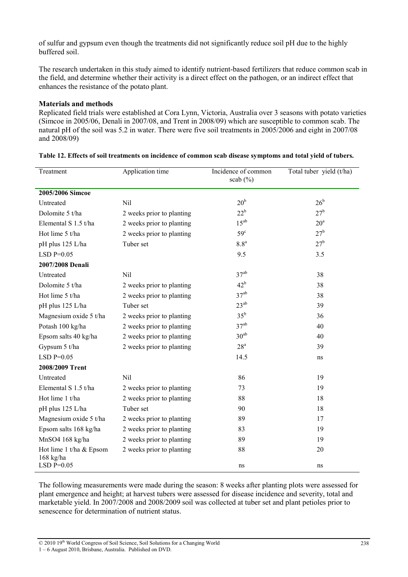of sulfur and gypsum even though the treatments did not significantly reduce soil pH due to the highly buffered soil.

The research undertaken in this study aimed to identify nutrient-based fertilizers that reduce common scab in the field, and determine whether their activity is a direct effect on the pathogen, or an indirect effect that enhances the resistance of the potato plant.

#### **Materials and methods**

Replicated field trials were established at Cora Lynn, Victoria, Australia over 3 seasons with potato varieties (Simcoe in 2005/06, Denali in 2007/08, and Trent in 2008/09) which are susceptible to common scab. The natural pH of the soil was 5.2 in water. There were five soil treatments in 2005/2006 and eight in 2007/08 and 2008/09)

| Treatment                              | Application time          | Incidence of common<br>scab $(\% )$ | Total tuber yield (t/ha) |
|----------------------------------------|---------------------------|-------------------------------------|--------------------------|
| 2005/2006 Simcoe                       |                           |                                     |                          |
| Untreated                              | Nil                       | 20 <sup>b</sup>                     | $26^{\rm b}$             |
| Dolomite 5 t/ha                        | 2 weeks prior to planting | $22^b$                              | 27 <sup>b</sup>          |
| Elemental S 1.5 t/ha                   | 2 weeks prior to planting | $15^{ab}$                           | 20 <sup>a</sup>          |
| Hot lime 5 t/ha                        | 2 weeks prior to planting | 59 <sup>c</sup>                     | 27 <sup>b</sup>          |
| pH plus 125 L/ha                       | Tuber set                 | 8.8 <sup>a</sup>                    | 27 <sup>b</sup>          |
| $LSD P=0.05$                           |                           | 9.5                                 | 3.5                      |
| 2007/2008 Denali                       |                           |                                     |                          |
| Untreated                              | Nil                       | 37 <sup>ab</sup>                    | 38                       |
| Dolomite 5 t/ha                        | 2 weeks prior to planting | $42^{\rm b}$                        | 38                       |
| Hot lime 5 t/ha                        | 2 weeks prior to planting | 37 <sup>ab</sup>                    | 38                       |
| pH plus 125 L/ha                       | Tuber set                 | $23^{ab}$                           | 39                       |
| Magnesium oxide 5 t/ha                 | 2 weeks prior to planting | $35^{\rm b}$                        | 36                       |
| Potash 100 kg/ha                       | 2 weeks prior to planting | 37 <sup>ab</sup>                    | 40                       |
| Epsom salts 40 kg/ha                   | 2 weeks prior to planting | 30 <sup>ab</sup>                    | 40                       |
| Gypsum 5 t/ha                          | 2 weeks prior to planting | 28 <sup>a</sup>                     | 39                       |
| $LSD P=0.05$                           |                           | 14.5                                | ns                       |
| 2008/2009 Trent                        |                           |                                     |                          |
| Untreated                              | Nil                       | 86                                  | 19                       |
| Elemental S 1.5 t/ha                   | 2 weeks prior to planting | 73                                  | 19                       |
| Hot lime 1 t/ha                        | 2 weeks prior to planting | 88                                  | 18                       |
| pH plus 125 L/ha                       | Tuber set                 | 90                                  | 18                       |
| Magnesium oxide 5 t/ha                 | 2 weeks prior to planting | 89                                  | 17                       |
| Epsom salts 168 kg/ha                  | 2 weeks prior to planting | 83                                  | 19                       |
| MnSO4 168 kg/ha                        | 2 weeks prior to planting | 89                                  | 19                       |
| Hot lime 1 t/ha & Epsom<br>$168$ kg/ha | 2 weeks prior to planting | 88                                  | 20                       |
| $LSD$ P= $0.05$                        |                           | ns                                  | ns                       |

**Table 12. Effects of soil treatments on incidence of common scab disease symptoms and total yield of tubers.** 

The following measurements were made during the season: 8 weeks after planting plots were assessed for plant emergence and height; at harvest tubers were assessed for disease incidence and severity, total and marketable yield. In 2007/2008 and 2008/2009 soil was collected at tuber set and plant petioles prior to senescence for determination of nutrient status.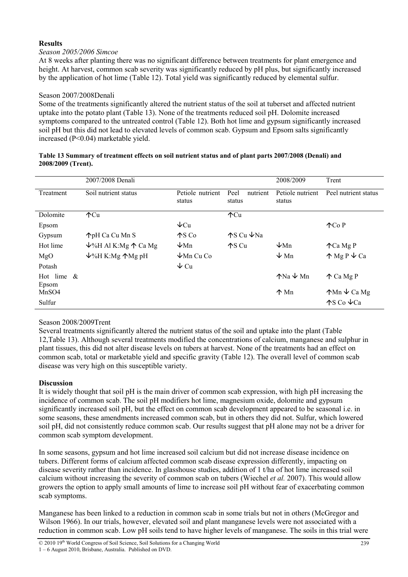# **Results**

## *Season 2005/2006 Simcoe*

At 8 weeks after planting there was no significant difference between treatments for plant emergence and height. At harvest, common scab severity was significantly reduced by pH plus, but significantly increased by the application of hot lime (Table 12). Total yield was significantly reduced by elemental sulfur.

## Season 2007/2008Denali

Some of the treatments significantly altered the nutrient status of the soil at tuberset and affected nutrient uptake into the potato plant (Table 13). None of the treatments reduced soil pH. Dolomite increased symptoms compared to the untreated control (Table 12). Both hot lime and gypsum significantly increased soil pH but this did not lead to elevated levels of common scab. Gypsum and Epsom salts significantly increased (P<0.04) marketable yield.

#### **Table 13 Summary of treatment effects on soil nutrient status and of plant parts 2007/2008 (Denali) and 2008/2009 (Trent).**

|               | 2007/2008 Denali                              |                               |                                     | 2008/2009                        | Trent                            |
|---------------|-----------------------------------------------|-------------------------------|-------------------------------------|----------------------------------|----------------------------------|
| Treatment     | Soil nutrient status                          | Petiole nutrient<br>status    | Peel<br>nutrient<br>status          | Petiole nutrient<br>status       | Peel nutrient status             |
| Dolomite      | $\uparrow$ Cu                                 |                               | $\text{ACu}$                        |                                  |                                  |
| Epsom         |                                               | $\downarrow$ Cu               |                                     |                                  | $\wedge$ Co P                    |
| Gypsum        | ↑pH Ca Cu Mn S                                | $\mathcal{A}$ S Co            | ↑S Cu ↓Na                           |                                  |                                  |
| Hot lime      | $\sqrt{6}$ H Al K:Mg $\uparrow$ Ca Mg         | $\sqrt{\text{Mn}}$            | $\bigwedge$ $\bigwedge$ $\bigwedge$ | $\sqrt{\text{Mn}}$               | $\triangle$ Ca Mg P              |
| MgO           | $\psi\$ <sup>6</sup> H K:Mg $\bigwedge$ Mg pH | $\sqrt{\frac{1}{2}}$ Mn Cu Co |                                     | $\downarrow$ Mn                  | $\uparrow$ Mg P $\downarrow$ Ca  |
| Potash        |                                               | $\vee$ Cu                     |                                     |                                  |                                  |
| Hot lime $\&$ |                                               |                               |                                     | $\text{N}a \downarrow \text{M}n$ | 个 Ca Mg P                        |
| Epsom         |                                               |                               |                                     |                                  |                                  |
| MnSO4         |                                               |                               |                                     | $\uparrow$ Mn                    | $\uparrow$ Mn $\downarrow$ Ca Mg |
| Sulfur        |                                               |                               |                                     |                                  | $\text{AS}$ Co $\text{C}$ a      |

## Season 2008/2009Trent

Several treatments significantly altered the nutrient status of the soil and uptake into the plant (Table 12,Table 13). Although several treatments modified the concentrations of calcium, manganese and sulphur in plant tissues, this did not alter disease levels on tubers at harvest. None of the treatments had an effect on common scab, total or marketable yield and specific gravity (Table 12). The overall level of common scab disease was very high on this susceptible variety.

## **Discussion**

It is widely thought that soil pH is the main driver of common scab expression, with high pH increasing the incidence of common scab. The soil pH modifiers hot lime, magnesium oxide, dolomite and gypsum significantly increased soil pH, but the effect on common scab development appeared to be seasonal i.e. in some seasons, these amendments increased common scab, but in others they did not. Sulfur, which lowered soil pH, did not consistently reduce common scab. Our results suggest that pH alone may not be a driver for common scab symptom development.

In some seasons, gypsum and hot lime increased soil calcium but did not increase disease incidence on tubers. Different forms of calcium affected common scab disease expression differently, impacting on disease severity rather than incidence. In glasshouse studies, addition of 1 t/ha of hot lime increased soil calcium without increasing the severity of common scab on tubers (Wiechel *et al.* 2007). This would allow growers the option to apply small amounts of lime to increase soil pH without fear of exacerbating common scab symptoms.

Manganese has been linked to a reduction in common scab in some trials but not in others (McGregor and Wilson 1966). In our trials, however, elevated soil and plant manganese levels were not associated with a reduction in common scab. Low pH soils tend to have higher levels of manganese. The soils in this trial were